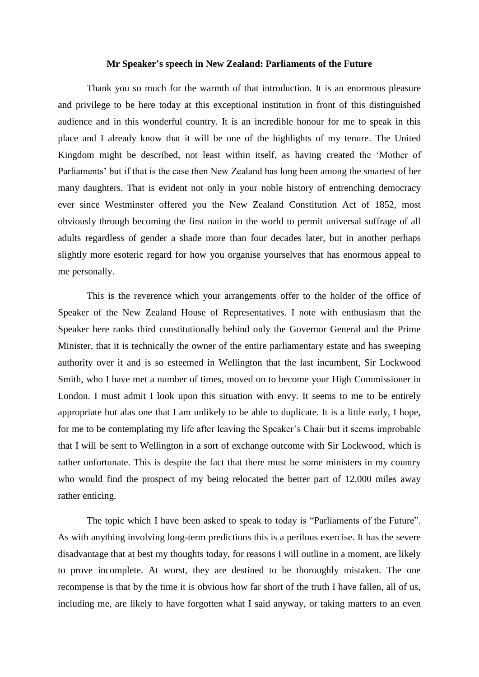## **Mr Speaker's speech in New Zealand: Parliaments of the Future**

Thank you so much for the warmth of that introduction. It is an enormous pleasure and privilege to be here today at this exceptional institution in front of this distinguished audience and in this wonderful country. It is an incredible honour for me to speak in this place and I already know that it will be one of the highlights of my tenure. The United Kingdom might be described, not least within itself, as having created the 'Mother of Parliaments' but if that is the case then New Zealand has long been among the smartest of her many daughters. That is evident not only in your noble history of entrenching democracy ever since Westminster offered you the New Zealand Constitution Act of 1852, most obviously through becoming the first nation in the world to permit universal suffrage of all adults regardless of gender a shade more than four decades later, but in another perhaps slightly more esoteric regard for how you organise yourselves that has enormous appeal to me personally.

This is the reverence which your arrangements offer to the holder of the office of Speaker of the New Zealand House of Representatives. I note with enthusiasm that the Speaker here ranks third constitutionally behind only the Governor General and the Prime Minister, that it is technically the owner of the entire parliamentary estate and has sweeping authority over it and is so esteemed in Wellington that the last incumbent, Sir Lockwood Smith, who I have met a number of times, moved on to become your High Commissioner in London. I must admit I look upon this situation with envy. It seems to me to be entirely appropriate but alas one that I am unlikely to be able to duplicate. It is a little early, I hope, for me to be contemplating my life after leaving the Speaker's Chair but it seems improbable that I will be sent to Wellington in a sort of exchange outcome with Sir Lockwood, which is rather unfortunate. This is despite the fact that there must be some ministers in my country who would find the prospect of my being relocated the better part of 12,000 miles away rather enticing.

The topic which I have been asked to speak to today is "Parliaments of the Future". As with anything involving long-term predictions this is a perilous exercise. It has the severe disadvantage that at best my thoughts today, for reasons I will outline in a moment, are likely to prove incomplete. At worst, they are destined to be thoroughly mistaken. The one recompense is that by the time it is obvious how far short of the truth I have fallen, all of us, including me, are likely to have forgotten what I said anyway, or taking matters to an even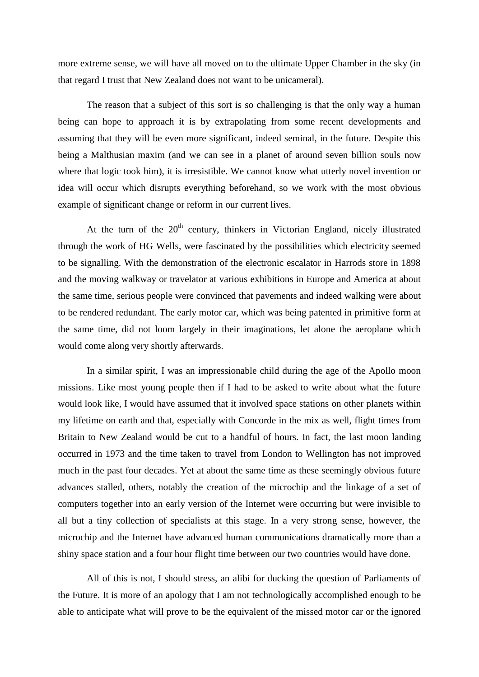more extreme sense, we will have all moved on to the ultimate Upper Chamber in the sky (in that regard I trust that New Zealand does not want to be unicameral).

The reason that a subject of this sort is so challenging is that the only way a human being can hope to approach it is by extrapolating from some recent developments and assuming that they will be even more significant, indeed seminal, in the future. Despite this being a Malthusian maxim (and we can see in a planet of around seven billion souls now where that logic took him), it is irresistible. We cannot know what utterly novel invention or idea will occur which disrupts everything beforehand, so we work with the most obvious example of significant change or reform in our current lives.

At the turn of the 20<sup>th</sup> century, thinkers in Victorian England, nicely illustrated through the work of HG Wells, were fascinated by the possibilities which electricity seemed to be signalling. With the demonstration of the electronic escalator in Harrods store in 1898 and the moving walkway or travelator at various exhibitions in Europe and America at about the same time, serious people were convinced that pavements and indeed walking were about to be rendered redundant. The early motor car, which was being patented in primitive form at the same time, did not loom largely in their imaginations, let alone the aeroplane which would come along very shortly afterwards.

In a similar spirit, I was an impressionable child during the age of the Apollo moon missions. Like most young people then if I had to be asked to write about what the future would look like, I would have assumed that it involved space stations on other planets within my lifetime on earth and that, especially with Concorde in the mix as well, flight times from Britain to New Zealand would be cut to a handful of hours. In fact, the last moon landing occurred in 1973 and the time taken to travel from London to Wellington has not improved much in the past four decades. Yet at about the same time as these seemingly obvious future advances stalled, others, notably the creation of the microchip and the linkage of a set of computers together into an early version of the Internet were occurring but were invisible to all but a tiny collection of specialists at this stage. In a very strong sense, however, the microchip and the Internet have advanced human communications dramatically more than a shiny space station and a four hour flight time between our two countries would have done.

All of this is not, I should stress, an alibi for ducking the question of Parliaments of the Future. It is more of an apology that I am not technologically accomplished enough to be able to anticipate what will prove to be the equivalent of the missed motor car or the ignored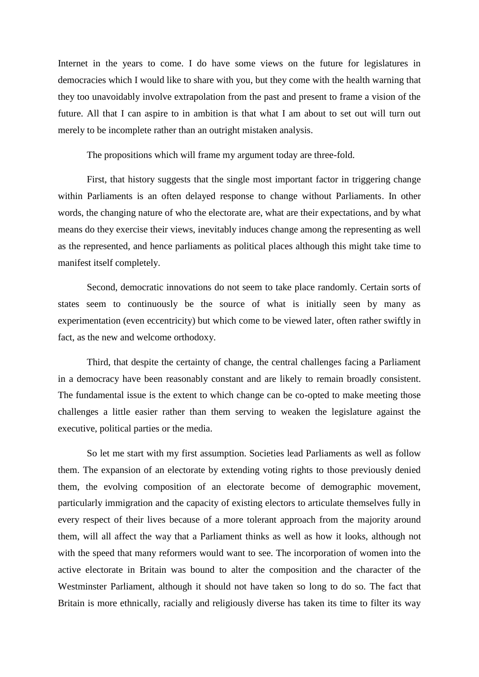Internet in the years to come. I do have some views on the future for legislatures in democracies which I would like to share with you, but they come with the health warning that they too unavoidably involve extrapolation from the past and present to frame a vision of the future. All that I can aspire to in ambition is that what I am about to set out will turn out merely to be incomplete rather than an outright mistaken analysis.

The propositions which will frame my argument today are three-fold.

First, that history suggests that the single most important factor in triggering change within Parliaments is an often delayed response to change without Parliaments. In other words, the changing nature of who the electorate are, what are their expectations, and by what means do they exercise their views, inevitably induces change among the representing as well as the represented, and hence parliaments as political places although this might take time to manifest itself completely.

Second, democratic innovations do not seem to take place randomly. Certain sorts of states seem to continuously be the source of what is initially seen by many as experimentation (even eccentricity) but which come to be viewed later, often rather swiftly in fact, as the new and welcome orthodoxy.

Third, that despite the certainty of change, the central challenges facing a Parliament in a democracy have been reasonably constant and are likely to remain broadly consistent. The fundamental issue is the extent to which change can be co-opted to make meeting those challenges a little easier rather than them serving to weaken the legislature against the executive, political parties or the media.

So let me start with my first assumption. Societies lead Parliaments as well as follow them. The expansion of an electorate by extending voting rights to those previously denied them, the evolving composition of an electorate become of demographic movement, particularly immigration and the capacity of existing electors to articulate themselves fully in every respect of their lives because of a more tolerant approach from the majority around them, will all affect the way that a Parliament thinks as well as how it looks, although not with the speed that many reformers would want to see. The incorporation of women into the active electorate in Britain was bound to alter the composition and the character of the Westminster Parliament, although it should not have taken so long to do so. The fact that Britain is more ethnically, racially and religiously diverse has taken its time to filter its way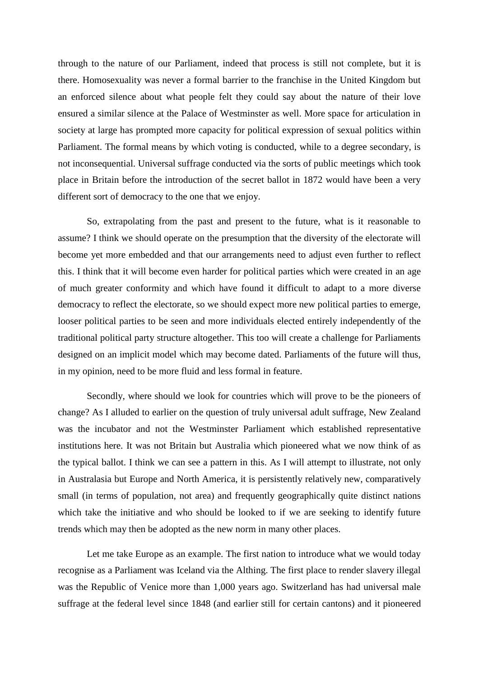through to the nature of our Parliament, indeed that process is still not complete, but it is there. Homosexuality was never a formal barrier to the franchise in the United Kingdom but an enforced silence about what people felt they could say about the nature of their love ensured a similar silence at the Palace of Westminster as well. More space for articulation in society at large has prompted more capacity for political expression of sexual politics within Parliament. The formal means by which voting is conducted, while to a degree secondary, is not inconsequential. Universal suffrage conducted via the sorts of public meetings which took place in Britain before the introduction of the secret ballot in 1872 would have been a very different sort of democracy to the one that we enjoy.

So, extrapolating from the past and present to the future, what is it reasonable to assume? I think we should operate on the presumption that the diversity of the electorate will become yet more embedded and that our arrangements need to adjust even further to reflect this. I think that it will become even harder for political parties which were created in an age of much greater conformity and which have found it difficult to adapt to a more diverse democracy to reflect the electorate, so we should expect more new political parties to emerge, looser political parties to be seen and more individuals elected entirely independently of the traditional political party structure altogether. This too will create a challenge for Parliaments designed on an implicit model which may become dated. Parliaments of the future will thus, in my opinion, need to be more fluid and less formal in feature.

Secondly, where should we look for countries which will prove to be the pioneers of change? As I alluded to earlier on the question of truly universal adult suffrage, New Zealand was the incubator and not the Westminster Parliament which established representative institutions here. It was not Britain but Australia which pioneered what we now think of as the typical ballot. I think we can see a pattern in this. As I will attempt to illustrate, not only in Australasia but Europe and North America, it is persistently relatively new, comparatively small (in terms of population, not area) and frequently geographically quite distinct nations which take the initiative and who should be looked to if we are seeking to identify future trends which may then be adopted as the new norm in many other places.

Let me take Europe as an example. The first nation to introduce what we would today recognise as a Parliament was Iceland via the Althing. The first place to render slavery illegal was the Republic of Venice more than 1,000 years ago. Switzerland has had universal male suffrage at the federal level since 1848 (and earlier still for certain cantons) and it pioneered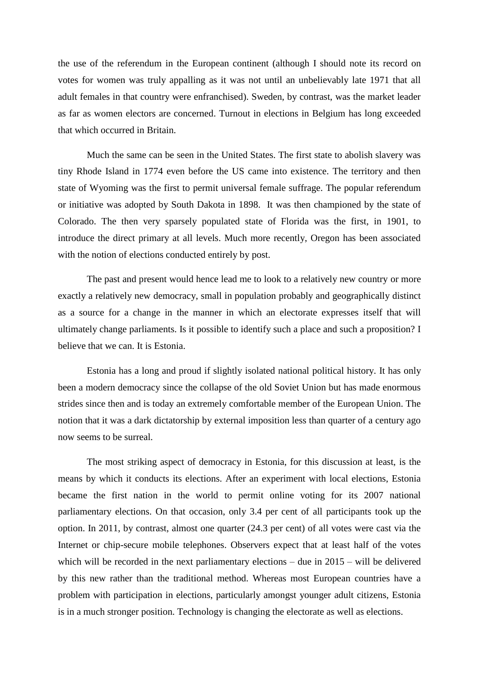the use of the referendum in the European continent (although I should note its record on votes for women was truly appalling as it was not until an unbelievably late 1971 that all adult females in that country were enfranchised). Sweden, by contrast, was the market leader as far as women electors are concerned. Turnout in elections in Belgium has long exceeded that which occurred in Britain.

Much the same can be seen in the United States. The first state to abolish slavery was tiny Rhode Island in 1774 even before the US came into existence. The territory and then state of Wyoming was the first to permit universal female suffrage. The popular referendum or initiative was adopted by South Dakota in 1898. It was then championed by the state of Colorado. The then very sparsely populated state of Florida was the first, in 1901, to introduce the direct primary at all levels. Much more recently, Oregon has been associated with the notion of elections conducted entirely by post.

The past and present would hence lead me to look to a relatively new country or more exactly a relatively new democracy, small in population probably and geographically distinct as a source for a change in the manner in which an electorate expresses itself that will ultimately change parliaments. Is it possible to identify such a place and such a proposition? I believe that we can. It is Estonia.

Estonia has a long and proud if slightly isolated national political history. It has only been a modern democracy since the collapse of the old Soviet Union but has made enormous strides since then and is today an extremely comfortable member of the European Union. The notion that it was a dark dictatorship by external imposition less than quarter of a century ago now seems to be surreal.

The most striking aspect of democracy in Estonia, for this discussion at least, is the means by which it conducts its elections. After an experiment with local elections, Estonia became the first nation in the world to permit online voting for its 2007 national parliamentary elections. On that occasion, only 3.4 per cent of all participants took up the option. In 2011, by contrast, almost one quarter (24.3 per cent) of all votes were cast via the Internet or chip-secure mobile telephones. Observers expect that at least half of the votes which will be recorded in the next parliamentary elections – due in 2015 – will be delivered by this new rather than the traditional method. Whereas most European countries have a problem with participation in elections, particularly amongst younger adult citizens, Estonia is in a much stronger position. Technology is changing the electorate as well as elections.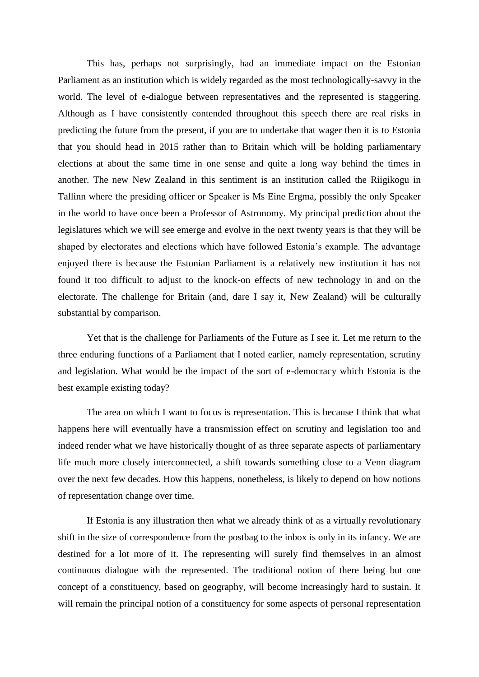This has, perhaps not surprisingly, had an immediate impact on the Estonian Parliament as an institution which is widely regarded as the most technologically-savvy in the world. The level of e-dialogue between representatives and the represented is staggering. Although as I have consistently contended throughout this speech there are real risks in predicting the future from the present, if you are to undertake that wager then it is to Estonia that you should head in 2015 rather than to Britain which will be holding parliamentary elections at about the same time in one sense and quite a long way behind the times in another. The new New Zealand in this sentiment is an institution called the Riigikogu in Tallinn where the presiding officer or Speaker is Ms Eine Ergma, possibly the only Speaker in the world to have once been a Professor of Astronomy. My principal prediction about the legislatures which we will see emerge and evolve in the next twenty years is that they will be shaped by electorates and elections which have followed Estonia's example. The advantage enjoyed there is because the Estonian Parliament is a relatively new institution it has not found it too difficult to adjust to the knock-on effects of new technology in and on the electorate. The challenge for Britain (and, dare I say it, New Zealand) will be culturally substantial by comparison.

Yet that is the challenge for Parliaments of the Future as I see it. Let me return to the three enduring functions of a Parliament that I noted earlier, namely representation, scrutiny and legislation. What would be the impact of the sort of e-democracy which Estonia is the best example existing today?

The area on which I want to focus is representation. This is because I think that what happens here will eventually have a transmission effect on scrutiny and legislation too and indeed render what we have historically thought of as three separate aspects of parliamentary life much more closely interconnected, a shift towards something close to a Venn diagram over the next few decades. How this happens, nonetheless, is likely to depend on how notions of representation change over time.

If Estonia is any illustration then what we already think of as a virtually revolutionary shift in the size of correspondence from the postbag to the inbox is only in its infancy. We are destined for a lot more of it. The representing will surely find themselves in an almost continuous dialogue with the represented. The traditional notion of there being but one concept of a constituency, based on geography, will become increasingly hard to sustain. It will remain the principal notion of a constituency for some aspects of personal representation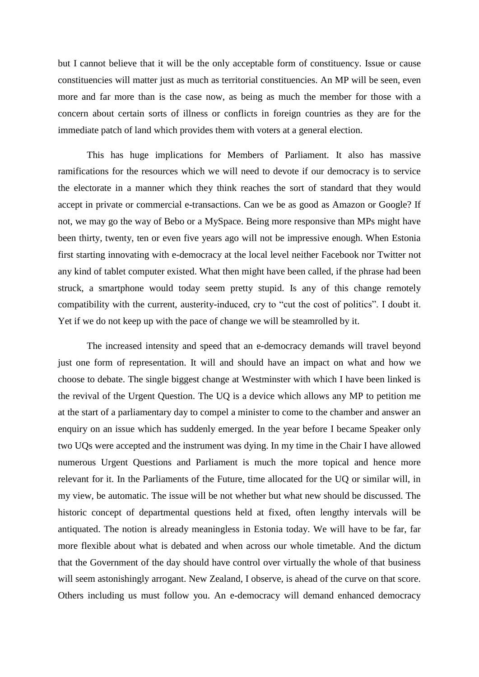but I cannot believe that it will be the only acceptable form of constituency. Issue or cause constituencies will matter just as much as territorial constituencies. An MP will be seen, even more and far more than is the case now, as being as much the member for those with a concern about certain sorts of illness or conflicts in foreign countries as they are for the immediate patch of land which provides them with voters at a general election.

This has huge implications for Members of Parliament. It also has massive ramifications for the resources which we will need to devote if our democracy is to service the electorate in a manner which they think reaches the sort of standard that they would accept in private or commercial e-transactions. Can we be as good as Amazon or Google? If not, we may go the way of Bebo or a MySpace. Being more responsive than MPs might have been thirty, twenty, ten or even five years ago will not be impressive enough. When Estonia first starting innovating with e-democracy at the local level neither Facebook nor Twitter not any kind of tablet computer existed. What then might have been called, if the phrase had been struck, a smartphone would today seem pretty stupid. Is any of this change remotely compatibility with the current, austerity-induced, cry to "cut the cost of politics". I doubt it. Yet if we do not keep up with the pace of change we will be steamrolled by it.

The increased intensity and speed that an e-democracy demands will travel beyond just one form of representation. It will and should have an impact on what and how we choose to debate. The single biggest change at Westminster with which I have been linked is the revival of the Urgent Question. The UQ is a device which allows any MP to petition me at the start of a parliamentary day to compel a minister to come to the chamber and answer an enquiry on an issue which has suddenly emerged. In the year before I became Speaker only two UQs were accepted and the instrument was dying. In my time in the Chair I have allowed numerous Urgent Questions and Parliament is much the more topical and hence more relevant for it. In the Parliaments of the Future, time allocated for the UQ or similar will, in my view, be automatic. The issue will be not whether but what new should be discussed. The historic concept of departmental questions held at fixed, often lengthy intervals will be antiquated. The notion is already meaningless in Estonia today. We will have to be far, far more flexible about what is debated and when across our whole timetable. And the dictum that the Government of the day should have control over virtually the whole of that business will seem astonishingly arrogant. New Zealand, I observe, is ahead of the curve on that score. Others including us must follow you. An e-democracy will demand enhanced democracy